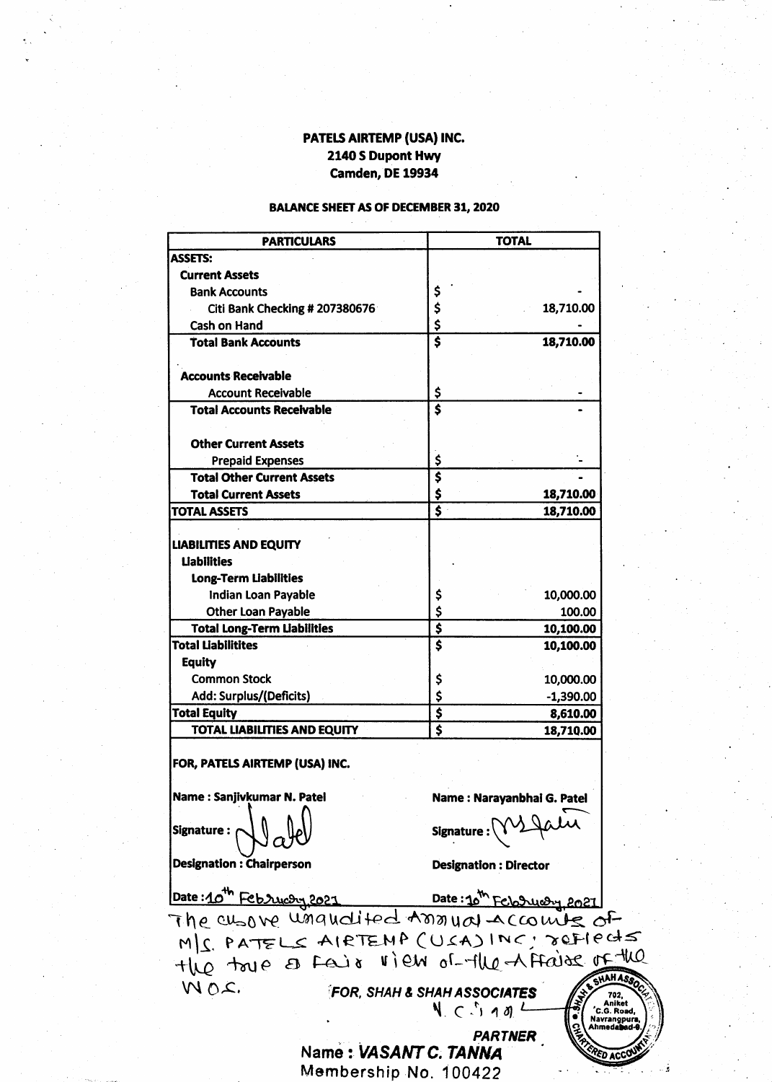# PATELS AIRTEMP (USA) INC. 2140 S Dupont Hwy Camden, DE 19934

## **BALANCE SHEET AS OF DECEMBER 31, 2020**

| <b>PARTICULARS</b>                                              | <b>TOTAL</b>                                      |
|-----------------------------------------------------------------|---------------------------------------------------|
| <b>ASSETS:</b>                                                  |                                                   |
| <b>Current Assets</b>                                           |                                                   |
| <b>Bank Accounts</b>                                            | \$                                                |
| Citi Bank Checking # 207380676                                  | \$<br>18,710.00                                   |
| Cash on Hand                                                    | \$                                                |
| <b>Total Bank Accounts</b>                                      | $\overline{\boldsymbol{s}}$<br>18,710.00          |
| <b>Accounts Receivable</b>                                      |                                                   |
| <b>Account Receivable</b>                                       | \$                                                |
| <b>Total Accounts Receivable</b>                                | $\overline{\mathbf{s}}$                           |
| <b>Other Current Assets</b>                                     |                                                   |
| <b>Prepaid Expenses</b>                                         | \$                                                |
| <b>Total Other Current Assets</b>                               | $\overline{\boldsymbol{\varsigma}}$               |
| <b>Total Current Assets</b>                                     | \$<br>18,710.00                                   |
| <b>TOTAL ASSETS</b>                                             | $\overline{\boldsymbol{s}}$<br>18,710.00          |
| <b>LIABILITIES AND EQUITY</b>                                   |                                                   |
| <b>Liabilities</b>                                              |                                                   |
| <b>Long-Term Liabilities</b>                                    |                                                   |
| Indian Loan Payable                                             | 10,000.00                                         |
|                                                                 | \$<br>\$                                          |
| <b>Other Loan Payable</b>                                       | 100.00<br>$\overline{\boldsymbol{\mathsf{s}}}$    |
| <b>Total Long-Term Liabilities</b><br><b>Total Liabilitites</b> | 10,100.00<br>$\overline{\boldsymbol{\mathsf{s}}}$ |
|                                                                 | 10,100.00                                         |
| <b>Equity</b>                                                   |                                                   |
| <b>Common Stock</b>                                             | \$<br>10,000.00                                   |
| Add: Surplus/(Deficits)                                         | \$<br>$-1,390.00$                                 |
| <b>Total Equity</b>                                             | $\overline{\boldsymbol{\mathsf{s}}}$<br>8,610.00  |
| <b>TOTAL LIABILITIES AND EQUITY</b>                             | $\overline{\boldsymbol{\varsigma}}$<br>18,710.00  |
| FOR, PATELS AIRTEMP (USA) INC.                                  |                                                   |
| Name: Sanjivkumar N. Patel                                      | Name: Narayanbhai G. Patel                        |
| Signature :                                                     | Signature                                         |
| <b>Designation: Chairperson</b>                                 | <b>Designation: Director</b>                      |
| Date:10th Februcoy, 2021                                        | Date: 10 <sup>m</sup> February, 2021              |
| The cusove unquolited transval accounts of                      |                                                   |
| MS. PATELS AIRTEMP (USA) INC : JOFIECTS                         |                                                   |
| the toye of Fair view of the Affaire of the                     |                                                   |
| MOC.                                                            | <b>ASHAHASSOCI</b>                                |
|                                                                 | <b>FOR, SHAH &amp; SHAH ASSOCIATES</b>            |
|                                                                 | $N_c \subset N_1$ and $L$                         |



PARTNER PARTNER : VASANT C. TANNA Membership No. 100422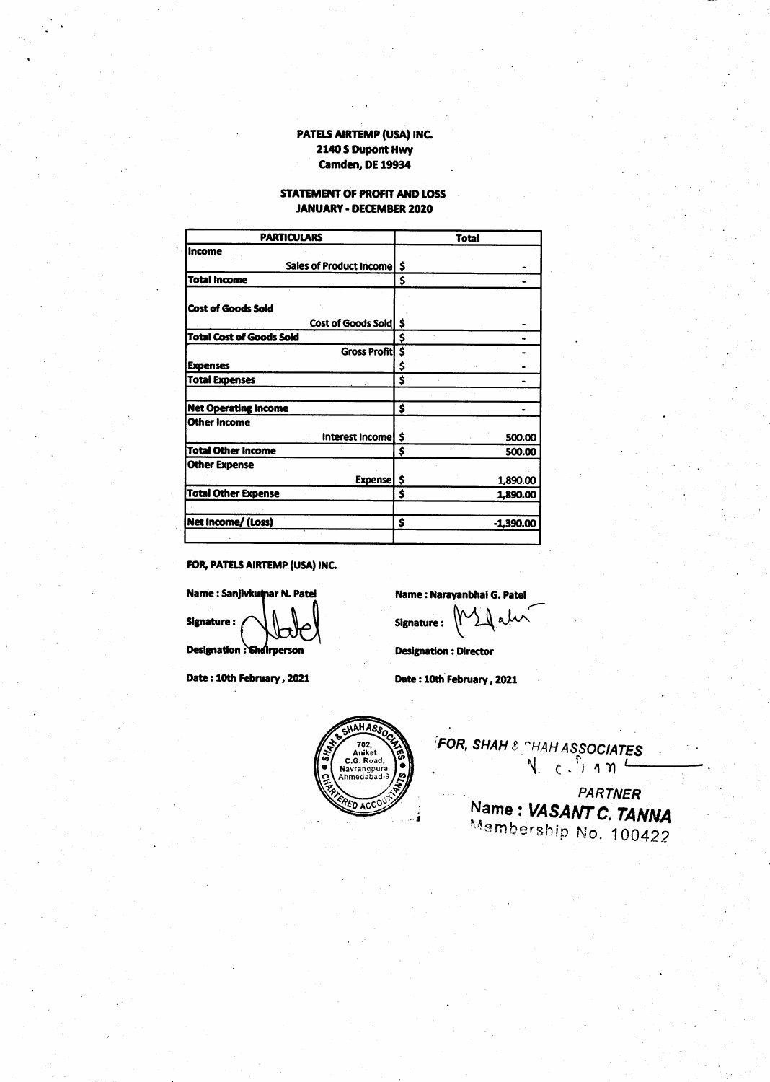### PATELS AIRTEMP (USA) INC. 2140 S Dupont Hwy **Camden, DE 19934**

#### STATEMENT OF PROFIT AND LOSS **JANUARY - DECEMBER 2020**

| <b>PARTICULARS</b>              | <b>Total</b>    |
|---------------------------------|-----------------|
| Income                          |                 |
| Sales of Product Income   \$    |                 |
| <b>Total Income</b>             | \$              |
|                                 |                 |
| <b>Cost of Goods Sold</b>       |                 |
| Cost of Goods Sold S            |                 |
| <b>Total Cost of Goods Sold</b> | Ś               |
| Gross Profit \$                 |                 |
| <b>Expenses</b>                 | \$              |
| <b>Total Expenses</b>           | \$              |
|                                 |                 |
| <b>Net Operating Income</b>     | Ś               |
| <b>Other Income</b>             |                 |
| Interest Income   \$            | 500.00          |
| <b>Total Other Income</b>       | \$<br>500.00    |
| <b>Other Expense</b>            |                 |
| <b>Expense</b>                  | -\$<br>1,890.00 |
| <b>Total Other Expense</b>      | \$<br>1,890.00  |
|                                 |                 |

FOR, PATELS AIRTEMP (USA) INC.

Name : Sanjivkumar N. Patel **Signature:** Designation : Chairperson

Date: 10th February, 2021

Name: Narayanbhai G. Patel مال مرابر Signature:

**Designation : Director** 

Date: 10th February, 2021



**FOR, SHAH & CHAH ASSOCIATES**  $N_{c}$   $(n + n)^{2}$ **PARTNER** 

Name: VASANT C. TANNA Membership No. 100422